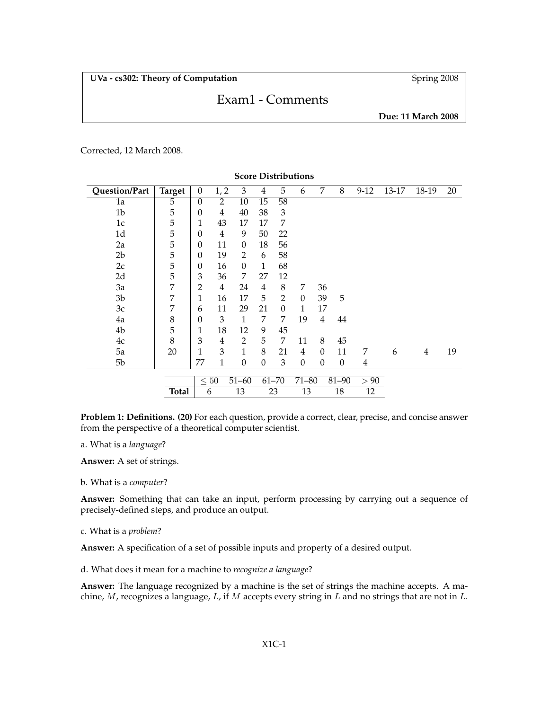# Exam1 - Comments

**Due: 11 March 2008**

Corrected, 12 March 2008.

| Question/Part  | <b>Target</b> | $\mathbf{0}$     | 1, 2                   | 3              | 4              | 5              | 6                  | 7              | 8              | $9-12$         | 13-17 | 18-19          | 20 |
|----------------|---------------|------------------|------------------------|----------------|----------------|----------------|--------------------|----------------|----------------|----------------|-------|----------------|----|
| 1a             | 5             | $\theta$         | 2                      | 10             | 15             | 58             |                    |                |                |                |       |                |    |
| 1 <sub>b</sub> | $\mathbf 5$   | $\boldsymbol{0}$ | 4                      | 40             | 38             | $\mathfrak{Z}$ |                    |                |                |                |       |                |    |
| 1c             | 5             | 1                | 43                     | 17             | 17             | 7              |                    |                |                |                |       |                |    |
| 1 <sub>d</sub> | 5             | $\boldsymbol{0}$ | $\overline{4}$         | 9              | 50             | 22             |                    |                |                |                |       |                |    |
| 2a             | 5             | $\theta$         | 11                     | $\Omega$       | 18             | 56             |                    |                |                |                |       |                |    |
| 2 <sub>b</sub> | 5             | $\theta$         | 19                     | $\overline{2}$ | 6              | 58             |                    |                |                |                |       |                |    |
| 2c             | 5             | $\boldsymbol{0}$ | 16                     | $\Omega$       | 1              | 68             |                    |                |                |                |       |                |    |
| 2d             | 5             | 3                | 36                     | 7              | 27             | 12             |                    |                |                |                |       |                |    |
| 3a             | 7             | $\overline{2}$   | $\overline{4}$         | 24             | $\overline{4}$ | 8              | 7                  | 36             |                |                |       |                |    |
| 3 <sub>b</sub> | 7             | 1                | 16                     | 17             | 5              | $\overline{2}$ | $\theta$           | 39             | 5              |                |       |                |    |
| 3c             | 7             | 6                | 11                     | 29             | 21             | $\Omega$       | 1                  | 17             |                |                |       |                |    |
| 4a             | 8             | $\theta$         | 3                      | 1              | 7              | 7              | 19                 | $\overline{4}$ | 44             |                |       |                |    |
| 4b             | 5             | 1                | 18                     | 12             | 9              | 45             |                    |                |                |                |       |                |    |
| 4c             | 8             | 3                | 4                      | $\overline{2}$ | 5              | 7              | 11                 | 8              | 45             |                |       |                |    |
| 5a             | 20            | 1                | 3                      | 1              | 8              | 21             | $\overline{4}$     | $\Omega$       | 11             | 7              | 6     | $\overline{4}$ | 19 |
| 5 <sub>b</sub> |               | 77               | 1                      | $\Omega$       | $\Omega$       | 3              | $\Omega$           | $\theta$       | $\overline{0}$ | $\overline{4}$ |       |                |    |
|                |               |                  | $\leq 50$<br>$51 - 60$ |                | $61 - 70$      |                | $71 - 80$<br>81-90 |                | > 90           |                |       |                |    |
|                |               |                  |                        |                |                |                |                    |                |                |                |       |                |    |
|                | <b>Total</b>  | 6                |                        | 13             | 23             |                | 13<br>18           |                | 12             |                |       |                |    |

**Score Distributions**

**Problem 1: Definitions. (20)** For each question, provide a correct, clear, precise, and concise answer from the perspective of a theoretical computer scientist.

a. What is a *language*?

**Answer:** A set of strings.

b. What is a *computer*?

**Answer:** Something that can take an input, perform processing by carrying out a sequence of precisely-defined steps, and produce an output.

c. What is a *problem*?

**Answer:** A specification of a set of possible inputs and property of a desired output.

d. What does it mean for a machine to *recognize a language*?

**Answer:** The language recognized by a machine is the set of strings the machine accepts. A machine,  $M$ , recognizes a language,  $L$ , if  $M$  accepts every string in  $L$  and no strings that are not in  $L$ .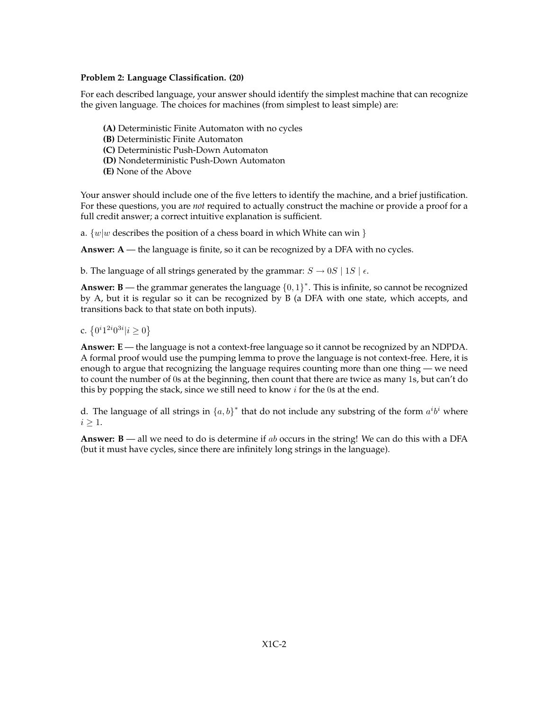## **Problem 2: Language Classification. (20)**

For each described language, your answer should identify the simplest machine that can recognize the given language. The choices for machines (from simplest to least simple) are:

- **(A)** Deterministic Finite Automaton with no cycles
- **(B)** Deterministic Finite Automaton
- **(C)** Deterministic Push-Down Automaton
- **(D)** Nondeterministic Push-Down Automaton
- **(E)** None of the Above

Your answer should include one of the five letters to identify the machine, and a brief justification. For these questions, you are *not* required to actually construct the machine or provide a proof for a full credit answer; a correct intuitive explanation is sufficient.

a.  $\{w|w$  describes the position of a chess board in which White can win  $\}$ 

**Answer: A** — the language is finite, so it can be recognized by a DFA with no cycles.

b. The language of all strings generated by the grammar:  $S \rightarrow 0S \mid 1S \mid \epsilon$ .

**Answer: B** — the grammar generates the language  ${0,1}^*$ . This is infinite, so cannot be recognized by A, but it is regular so it can be recognized by B (a DFA with one state, which accepts, and transitions back to that state on both inputs).

c.  $\{0^i 1^{2i} 0^{3i} | i \ge 0\}$ 

**Answer: E** — the language is not a context-free language so it cannot be recognized by an NDPDA. A formal proof would use the pumping lemma to prove the language is not context-free. Here, it is enough to argue that recognizing the language requires counting more than one thing — we need to count the number of 0s at the beginning, then count that there are twice as many 1s, but can't do this by popping the stack, since we still need to know  $i$  for the 0s at the end.

d. The language of all strings in  $\{a, b\}^*$  that do not include any substring of the form  $a^i b^i$  where  $i \geq 1$ .

**Answer: B** — all we need to do is determine if ab occurs in the string! We can do this with a DFA (but it must have cycles, since there are infinitely long strings in the language).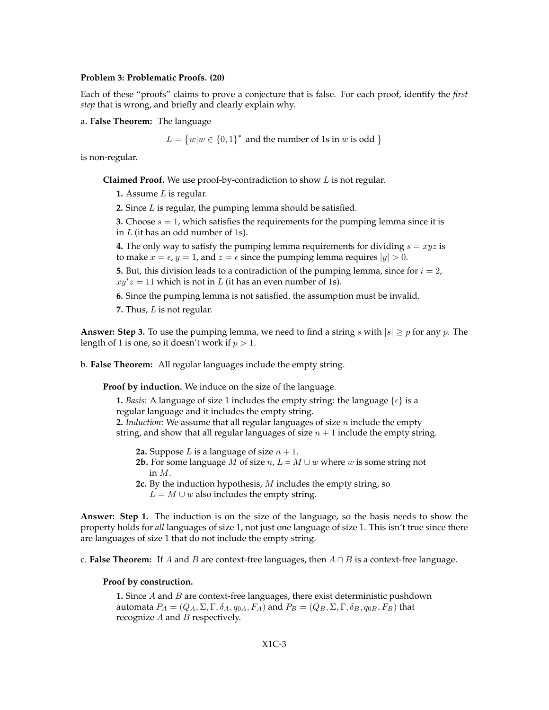#### **Problem 3: Problematic Proofs. (20)**

Each of these "proofs" claims to prove a conjecture that is false. For each proof, identify the *first step* that is wrong, and briefly and clearly explain why.

a. **False Theorem:** The language

 $L = \{w|w \in \{0,1\}^* \text{ and the number of 1s in } w \text{ is odd }\}$ 

is non-regular.

**Claimed Proof.** We use proof-by-contradiction to show L is not regular.

**1.** Assume L is regular.

**2.** Since L is regular, the pumping lemma should be satisfied.

**3.** Choose  $s = 1$ , which satisfies the requirements for the pumping lemma since it is in  $L$  (it has an odd number of 1s).

**4.** The only way to satisfy the pumping lemma requirements for dividing  $s = xyz$  is to make  $x = \epsilon$ ,  $y = 1$ , and  $z = \epsilon$  since the pumping lemma requires  $|y| > 0$ .

**5.** But, this division leads to a contradiction of the pumping lemma, since for  $i = 2$ ,  $xy^i z = 11$  which is not in L (it has an even number of 1s).

**6.** Since the pumping lemma is not satisfied, the assumption must be invalid.

**7.** Thus, L is not regular.

**Answer: Step 3.** To use the pumping lemma, we need to find a string s with  $|s| \ge p$  for any p. The length of 1 is one, so it doesn't work if  $p > 1$ .

b. **False Theorem:** All regular languages include the empty string.

**Proof by induction.** We induce on the size of the language.

**1.** *Basis*: A language of size 1 includes the empty string: the language  $\{\epsilon\}$  is a regular language and it includes the empty string.

**2.** *Induction*: We assume that all regular languages of size n include the empty string, and show that all regular languages of size  $n + 1$  include the empty string.

**2a.** Suppose L is a language of size  $n + 1$ .

- **2b.** For some language M of size  $n, L = M \cup w$  where w is some string not in M.
- **2c.** By the induction hypothesis, M includes the empty string, so  $L = M \cup w$  also includes the empty string.

**Answer: Step 1.** The induction is on the size of the language, so the basis needs to show the property holds for *all* languages of size 1, not just one language of size 1. This isn't true since there are languages of size 1 that do not include the empty string.

c. **False Theorem:** If A and B are context-free languages, then  $A \cap B$  is a context-free language.

## **Proof by construction.**

**1.** Since A and B are context-free languages, there exist deterministic pushdown automata  $P_A = (Q_A, \Sigma, \Gamma, \delta_A, q_{0A}, F_A)$  and  $P_B = (Q_B, \Sigma, \Gamma, \delta_B, q_{0B}, F_B)$  that recognize  $A$  and  $B$  respectively.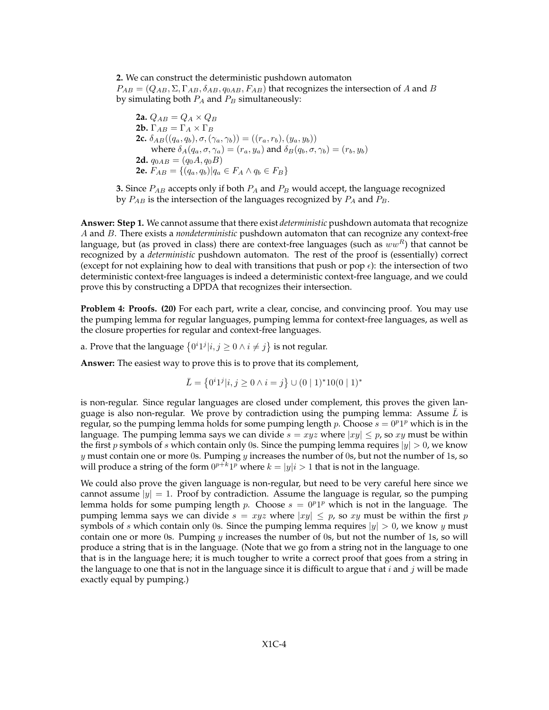**2.** We can construct the deterministic pushdown automaton  $P_{AB} = (Q_{AB}, \Sigma, \Gamma_{AB}, \delta_{AB}, q_{0AB}, F_{AB})$  that recognizes the intersection of A and B by simulating both  $P_A$  and  $P_B$  simultaneously:

**2a.**  $Q_{AB} = Q_A \times Q_B$ **2b.**  $\Gamma_{AB} = \Gamma_A \times \Gamma_B$ **2c.**  $\delta_{AB}((q_a, q_b), \sigma, (\gamma_a, \gamma_b)) = ((r_a, r_b), (y_a, y_b))$ where  $\delta_A(q_a, \sigma, \gamma_a) = (r_a, y_a)$  and  $\delta_B(q_b, \sigma, \gamma_b) = (r_b, y_b)$ **2d.**  $q_{0AB} = (q_0A, q_0B)$ **2e.**  $F_{AB} = \{(q_a, q_b) | q_a \in F_A \land q_b \in F_B \}$ 

**3.** Since  $P_{AB}$  accepts only if both  $P_A$  and  $P_B$  would accept, the language recognized by  $P_{AB}$  is the intersection of the languages recognized by  $P_A$  and  $P_B$ .

**Answer: Step 1.** We cannot assume that there exist *deterministic* pushdown automata that recognize A and B. There exists a *nondeterministic* pushdown automaton that can recognize any context-free language, but (as proved in class) there are context-free languages (such as  $ww<sup>R</sup>$ ) that cannot be recognized by a *deterministic* pushdown automaton. The rest of the proof is (essentially) correct (except for not explaining how to deal with transitions that push or pop  $\epsilon$ ): the intersection of two deterministic context-free languages is indeed a deterministic context-free language, and we could prove this by constructing a DPDA that recognizes their intersection.

**Problem 4: Proofs. (20)** For each part, write a clear, concise, and convincing proof. You may use the pumping lemma for regular languages, pumping lemma for context-free languages, as well as the closure properties for regular and context-free languages.

a. Prove that the language  $\{0^i1^j|i,j\geq 0 \wedge i\neq j\}$  is not regular.

**Answer:** The easiest way to prove this is to prove that its complement,

$$
\bar{L} = \{0^i 1^j | i, j \ge 0 \land i = j\} \cup (0 \mid 1)^* 10(0 \mid 1)^*
$$

is non-regular. Since regular languages are closed under complement, this proves the given language is also non-regular. We prove by contradiction using the pumping lemma: Assume  $\overline{L}$  is regular, so the pumping lemma holds for some pumping length p. Choose  $s = 0^p1^p$  which is in the language. The pumping lemma says we can divide  $s = xyz$  where  $|xy| \leq p$ , so xy must be within the first p symbols of s which contain only 0s. Since the pumping lemma requires  $|y| > 0$ , we know  $y$  must contain one or more 0s. Pumping  $y$  increases the number of 0s, but not the number of 1s, so will produce a string of the form  $0^{p+{k_1}p}$  where  $k=|y|i>1$  that is not in the language.

We could also prove the given language is non-regular, but need to be very careful here since we cannot assume  $|y| = 1$ . Proof by contradiction. Assume the language is regular, so the pumping lemma holds for some pumping length p. Choose  $s = 0<sup>p</sup>1<sup>p</sup>$  which is not in the language. The pumping lemma says we can divide  $s = xyz$  where  $|xy| \leq p$ , so xy must be within the first p symbols of s which contain only 0s. Since the pumping lemma requires  $|y| > 0$ , we know y must contain one or more 0s. Pumping  $y$  increases the number of 0s, but not the number of 1s, so will produce a string that is in the language. (Note that we go from a string not in the language to one that is in the language here; it is much tougher to write a correct proof that goes from a string in the language to one that is not in the language since it is difficult to argue that i and j will be made exactly equal by pumping.)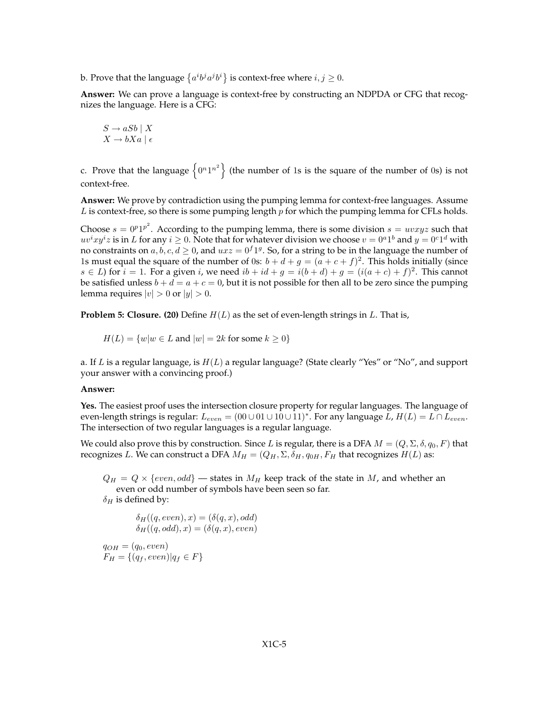b. Prove that the language  $\{a^i b^j a^j b^i\}$  is context-free where  $i, j \geq 0$ .

**Answer:** We can prove a language is context-free by constructing an NDPDA or CFG that recognizes the language. Here is a CFG:

$$
S \to aSb \mid X
$$

$$
X \to bXa \mid \epsilon
$$

c. Prove that the language  $\{0^n1^n\}$  (the number of 1s is the square of the number of 0s) is not context-free.

**Answer:** We prove by contradiction using the pumping lemma for context-free languages. Assume  $L$  is context-free, so there is some pumping length  $p$  for which the pumping lemma for CFLs holds.

Choose  $s = 0^p1^p$ <sup>2</sup>. According to the pumping lemma, there is some division  $s = uvxyz$  such that  $uv^ixy^iz$  is in L for any  $i \geq 0$ . Note that for whatever division we choose  $v = 0^a1^b$  and  $y = 0^c1^d$  with no constraints on  $a, b, c, d \geq 0$ , and  $uxz = 0<sup>f</sup>1<sup>g</sup>$ . So, for a string to be in the language the number of 1s must equal the square of the number of 0s:  $b + d + g = (a + c + f)^2$ . This holds initially (since  $s \in L$ ) for  $i = 1$ . For a given i, we need  $ib + id + g = i(b + d) + g = (i(a + c) + f)^2$ . This cannot be satisfied unless  $b + d = a + c = 0$ , but it is not possible for then all to be zero since the pumping lemma requires  $|v| > 0$  or  $|y| > 0$ .

**Problem 5: Closure. (20)** Define  $H(L)$  as the set of even-length strings in  $L$ . That is,

 $H(L) = \{w|w \in L \text{ and } |w| = 2k \text{ for some } k \geq 0\}$ 

a. If L is a regular language, is  $H(L)$  a regular language? (State clearly "Yes" or "No", and support your answer with a convincing proof.)

#### **Answer:**

**Yes.** The easiest proof uses the intersection closure property for regular languages. The language of even-length strings is regular:  $L_{even} = (00 \cup 01 \cup 10 \cup 11)^*$  . For any language  $L$  ,  $H(L) = L \cap L_{even}$ . The intersection of two regular languages is a regular language.

We could also prove this by construction. Since L is regular, there is a DFA  $M = (Q, \Sigma, \delta, q_0, F)$  that recognizes L. We can construct a DFA  $M_H = (Q_H, \Sigma, \delta_H, q_{0H}, F_H$  that recognizes  $H(L)$  as:

 $Q_H = Q \times \{even, odd\}$  — states in  $M_H$  keep track of the state in M, and whether an even or odd number of symbols have been seen so far.

 $\delta_H$  is defined by:

$$
\delta_H((q, even), x) = (\delta(q, x), odd)
$$

$$
\delta_H((q, odd), x) = (\delta(q, x), even)
$$

$$
q_{OH} = (q_0, even)
$$

$$
F_H = \{(q_f, even) | q_f \in F\}
$$